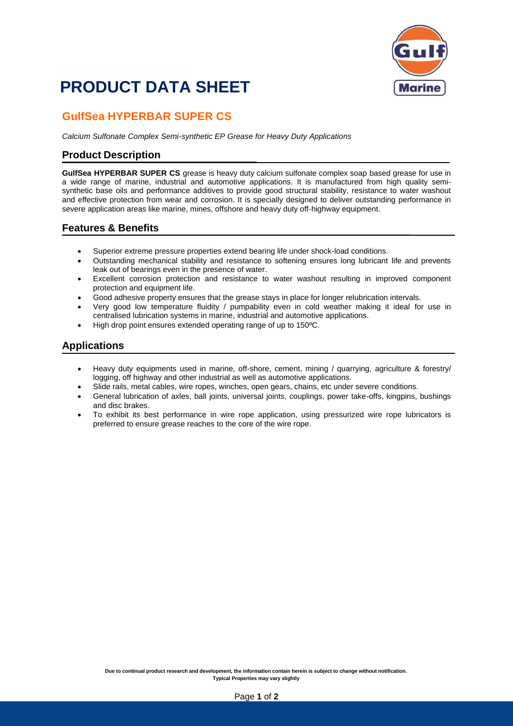# **PRODUCT DATA SHEET**



### **GulfSea HYPERBAR SUPER CS**

*Calcium Sulfonate Complex Semi-synthetic EP Grease for Heavy Duty Applications*

#### **Product Description**

**GulfSea HYPERBAR SUPER CS** grease is heavy duty calcium sulfonate complex soap based grease for use in a wide range of marine, industrial and automotive applications. It is manufactured from high quality semisynthetic base oils and performance additives to provide good structural stability, resistance to water washout and effective protection from wear and corrosion. It is specially designed to deliver outstanding performance in severe application areas like marine, mines, offshore and heavy duty off-highway equipment.

#### **Features & Benefits**

- Superior extreme pressure properties extend bearing life under shock-load conditions.
- Outstanding mechanical stability and resistance to softening ensures long lubricant life and prevents leak out of bearings even in the presence of water.
- Excellent corrosion protection and resistance to water washout resulting in improved component protection and equipment life.
- Good adhesive property ensures that the grease stays in place for longer relubrication intervals.
- Very good low temperature fluidity / pumpability even in cold weather making it ideal for use in centralised lubrication systems in marine, industrial and automotive applications.
- High drop point ensures extended operating range of up to 150ºC.

#### **Applications**

- Heavy duty equipments used in marine, off-shore, cement, mining / quarrying, agriculture & forestry/ logging, off highway and other industrial as well as automotive applications.
- Slide rails, metal cables, wire ropes, winches, open gears, chains, etc under severe conditions.
- General lubrication of axles, ball joints, universal joints, couplings, power take-offs, kingpins, bushings and disc brakes.
- To exhibit its best performance in wire rope application, using pressurized wire rope lubricators is preferred to ensure grease reaches to the core of the wire rope.